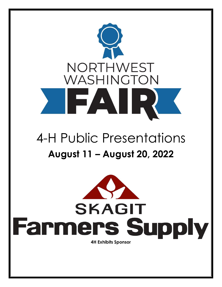

# 4-H Public Presentations **August 11 – August 20, 2022**

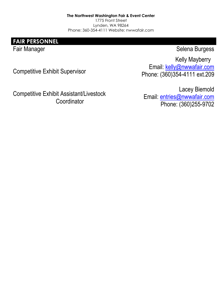**The Northwest Washington Fair & Event Center** 1775 Front Street Lynden, WA 98264 Phone: 360-354-4111 Website: nwwafair.com

**FAIR PERSONNEL**

Fair Manager Selena Burgess

Kelly Mayberry

Competitive Exhibit Supervisor

Competitive Exhibit Assistant/Livestock **Coordinator** 

Email: [kelly@nwwafair.com](mailto:kelly@nwwafair.com) Phone: (360)354-4111 ext.209

Lacey Biemold Email: [entries@nwwafair.com](mailto:entries@nwwafair.com) Phone: (360)255-9702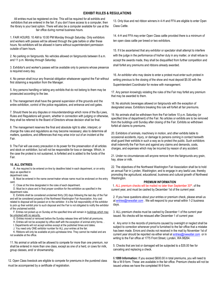### **EXHIBIT RULES & REGULATIONS**

All entries must be registered on-line. This will be required for all exhibits and exhibitors that are entered in the fair. If you don't have access to a computer, then the library is your best option. There will also be a computer available for use at the fair office during normal business hours.

1. FAIR HOURS: 10 AM to 10:00 PM Monday through Saturday. Only exhibitors and workers with passes will be allowed through the gate before or after these hours. No exhibitors will be allowed in barns without superintendent permission outside of barn hours.

2. No parking on fairgrounds. No vehicles allowed on fairgrounds between 8 a.m. and 11 p.m. Monday through Saturday.

3. Exhibitor's and worker's passes will be available only to persons whose presence is required every day.

4. No person shall incur any financial obligation whatsoever against the Fair without first obtaining a requisition from the Manager.

5. Any persons handling or taking any exhibits that do not belong to them may be prosecuted according to the law.

6. The management shall have the general supervision of the grounds and the entire exhibition, control of the police regulations, and entrance and exit gates.

7. Should there be any disputes or misunderstandings which none of the By-Laws, Rules and Regulations will govern, whether in connection with judging or otherwise, they shall be referred to the Board of Directors whose decision shall be final.

8. The management reserves the final and absolute right to alter, interpret, or change the rules and regulations as may become necessary; also to determine all matters, questions, and differences that may arise in/or out of an incident at the Fair.

9. The Fair will use every precaution in its power for the preservation of all articles and stock on exhibition, but will not be responsible for loss or damage. Which, in the case the protest is not sustained, is forfeited and is added to the funds of the Fair.

### **10. ALL ENTRIES:**

A. Are required to be entered on-line by deadline listed in each department, or on entry days as specified in

department rules. B. Must be entered in the name owner/maker whose name must be endorsed on the entry card.

C. Close at the time designated in the rules of each department.

D. Must be in place and in final proper condition for the exhibition as specified in the department rules.

E. Exhibits shall be considered unclaimed thirty (30) days following the last day of the Fair and will be considered property of the Northwest Washington Fair Association. Any cost related to disposal will be passed on to the exhibitor. It is the full responsibility of the exhibitor to pick up their exhibit prior to such disposal and the Fair is not obligated to notify the exhibitor of the unclaimed exhibit.

F. Entries not picked up on Sunday at the specified time will remain in buildings which may be unlocked with no security.

- G. Entries moved or removed before the Sunday release time will forfeit all premiums.
- H. Entries will not be accepted by office staff with the exception of animal entry forms. .

I. Departments will not accept entries except at the published times and dates.

J. You need only ONE exhibitor number for ALL your entries at the fair.

K. Ribbons will only be available at pick-up/release time. They cannot be mailed and are not available at the office.

11. No animal or article will be allowed to compete for more than one premium, nor shall be entered in more than one class, except as one of a herd, or cows for milk, group classes, and/ or showmanship.

12. Open Class livestock are eligible to compete for premiums in the purebred class must be accompanied by a certificate of registration.

13. Only blue and red ribbon winners in 4-H and FFA are eligible to enter Open Class Cattle.

14. 4-H and FFA may enter Open Class cattle provided there is a minimum of ten open class cattle per breed or two exhibitors.

15. If it be ascertained that any exhibitor or spectator shall attempt to interfere with the judge in the performance of his/her duty in any matter, or shall refuse to accept the awards made, they shall be disqualified from further competition and shall forfeit any premiums and ribbons already awarded.

16. An exhibitor who may desire to enter a protest must enter such protest in writing previous to the closing of the show and must deposit \$5.00 with the Superintendent Coordinator for review with management.

17. Any person knowingly violating the rules of the Fair may forfeit any premium that may be awarded to them.

18. No alcoholic beverages allowed on fairgrounds with the exception of designated areas. Exhibitors breaking this rule will forfeit all fair premiums.

19. No animals shall be withdrawn from the Fair before 10 p.m. Saturday (or specified time of department) of the Fair. No articles or exhibits are to be removed from the buildings until Sunday after closing of the Fair. Exhibits so withdrawn forfeit all claims to premiums.

20. Exhibitors of animals, machinery in motion, and other exhibits liable to occasional accidents, injury, or damage to persons coming in contact herewith shall guard their exhibits in such a way as to protect the public. Such exhibitors shall indemnify the Fair from and against any claims and demands, costs, charges, and expenses which may be incurred by reason of any accident.

21. Under no circumstances will anyone remove from the fairgrounds any grain, hay, straw or milk.

22. The objectives of the Northwest Washington Fair Association shall be to hold an annual Fair in Lynden, Washington; and to engage in any lawful use, thereby promoting the agricultural, educational, business and cultural growth of Northwest Washington.

#### **PREMIUM INFORMATION**

1. ALL premium checks will be mailed no later than September  $30<sup>th</sup>$ , of the current year, and must be cashed by December 1st of the current year.

2. If you have questions about your entries or premium check, please email us at [entries@nwwafair.com](mailto:entries@nwwafair.com). We will respond to your email within 1-2 business days.

3. ALL premium checks must be cashed by December 1 of the current year issued. No checks will be reissued after December 1 of current year.

4. Any error in the records of premiums caused by oversight or neglect shall be subject to correction whenever proof is furnished to the fair office that a mistake has been made. Errors and checks not received in the mail by November 1st of current year should be reported via either email a[t entries@nwwafair.com](mailto:entries@nwwafair.com) or in writing to the Fair office at 1775 Front Street, Lynden, WA 98264.

5. Checks that are lost or damaged will be subjected to a \$35.00 fee for canceling and replacing a check.

6.**1099 Information:** If you exceed \$600.00 in total premiums, you will need to file a W-9 form. These are available in the fair office. Premium checks will not be issued unless we have the completed W-9 form.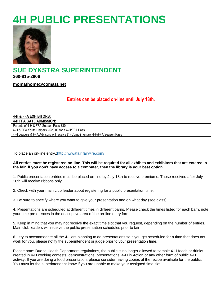## **4H PUBLIC PRESENTATIONS**



**SUE DYKSTRA SUPERINTENDENT 360-815-2906**

**[momathome@comast.net](mailto:momathome@comast.net)**

**Entries can be placed on-line until July 18th.**

| 4-H & FFA EXHIBITORS:                                                         |
|-------------------------------------------------------------------------------|
| <b>4-H FFA GATE ADMISSION:</b>                                                |
| Parents of 4-H & FFA Season Pass \$30                                         |
| 4-H & FFA Youth Helpers - \$20.00 for a 4-H/FFA Pass                          |
| 4-H Leaders & FFA Advisors will receive (1) Complimentary 4-H/FFA Season Pass |

To place an on-line entry,[:http://nwwafair.fairwire.com/](http://nwwafair.fairwire.com/)

## **All entries must be registered on-line. This will be required for all exhibits and exhibitors that are entered in the fair. If you don't have access to a computer, then the library is your best option.**

1. Public presentation entries must be placed on-line by July 18th to receive premiums. Those received after July 18th will receive ribbons only.

2. Check with your main club leader about registering for a public presentation time.

3. Be sure to specify where you want to give your presentation and on what day (see class).

4. Presentations are scheduled at different times in different barns. Please check the times listed for each barn, note your time preferences in the descriptive area of the on-line entry form.

5. Keep in mind that you may not receive the exact time slot that you request, depending on the number of entries. Main club leaders will receive the public presentation schedules prior to fair.

6. I try to accommodate all the 4-Hers planning to do presentations so if you get scheduled for a time that does not work for you, please notify the superintendent or judge prior to your presentation time.

Please note: Due to Health Department regulations, the public is no longer allowed to sample 4-H foods or drinks created in 4-H cooking contests, demonstrations, presentations, 4-H in Action or any other form of public 4-H activity. If you are doing a food presentation, please consider having copies of the recipe available for the public. You must let the superintendent know if you are unable to make your assigned time slot.